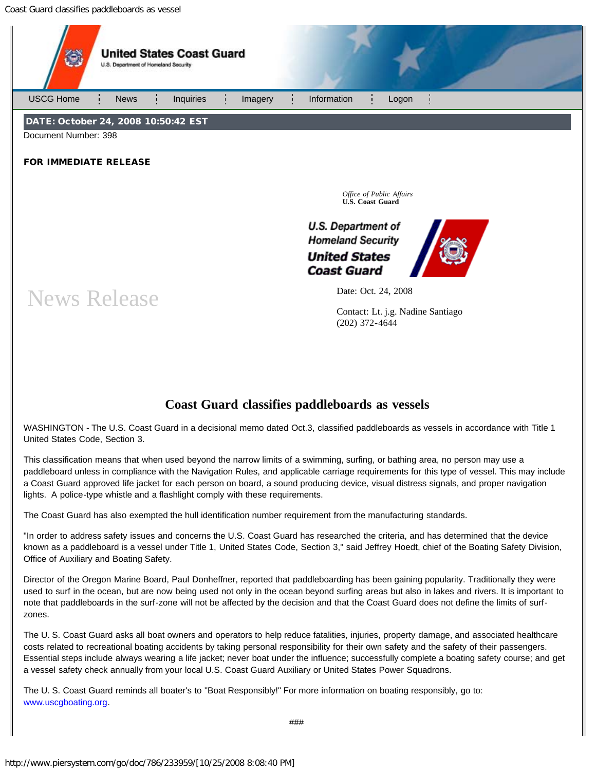Coast Guard classifies paddleboards as vessel



## **Coast Guard classifies paddleboards as vessels**

WASHINGTON - The U.S. Coast Guard in a decisional memo dated Oct.3, classified paddleboards as vessels in accordance with Title 1 United States Code, Section 3.

This classification means that when used beyond the narrow limits of a swimming, surfing, or bathing area, no person may use a paddleboard unless in compliance with the Navigation Rules, and applicable carriage requirements for this type of vessel. This may include a Coast Guard approved life jacket for each person on board, a sound producing device, visual distress signals, and proper navigation lights. A police-type whistle and a flashlight comply with these requirements.

The Coast Guard has also exempted the hull identification number requirement from the manufacturing standards.

"In order to address safety issues and concerns the U.S. Coast Guard has researched the criteria, and has determined that the device known as a paddleboard is a vessel under Title 1, United States Code, Section 3," said Jeffrey Hoedt, chief of the Boating Safety Division, Office of Auxiliary and Boating Safety.

Director of the Oregon Marine Board, Paul Donheffner, reported that paddleboarding has been gaining popularity. Traditionally they were used to surf in the ocean, but are now being used not only in the ocean beyond surfing areas but also in lakes and rivers. It is important to note that paddleboards in the surf-zone will not be affected by the decision and that the Coast Guard does not define the limits of surfzones.

The U. S. Coast Guard asks all boat owners and operators to help reduce fatalities, injuries, property damage, and associated healthcare costs related to recreational boating accidents by taking personal responsibility for their own safety and the safety of their passengers. Essential steps include always wearing a life jacket; never boat under the influence; successfully complete a boating safety course; and get a vessel safety check annually from your local U.S. Coast Guard Auxiliary or United States Power Squadrons.

The U. S. Coast Guard reminds all boater's to "Boat Responsibly!" For more information on boating responsibly, go to: [www.uscgboating.org](http://www.uscgboating.org/).

###